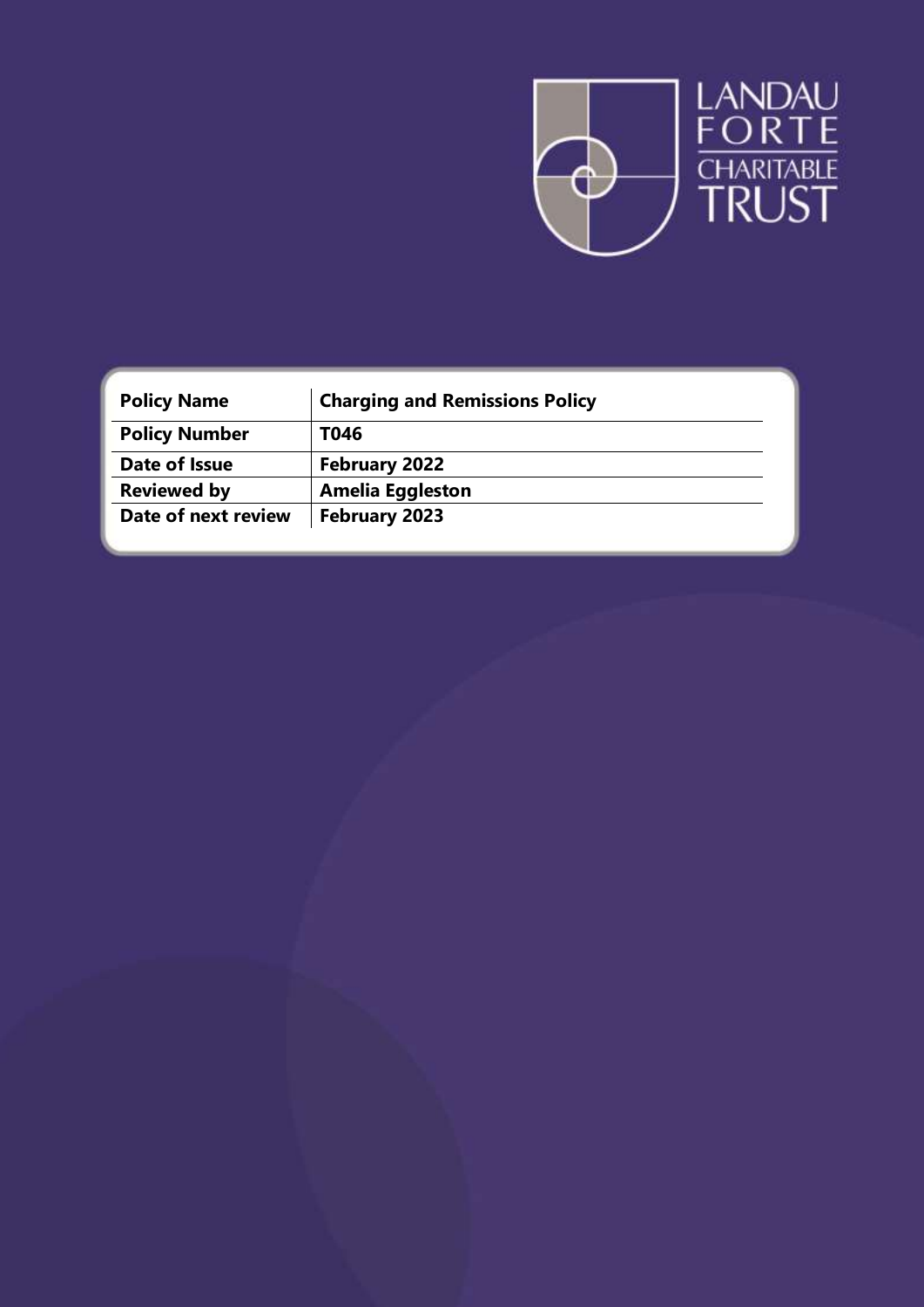

| <b>Policy Name</b>   | <b>Charging and Remissions Policy</b> |
|----------------------|---------------------------------------|
| <b>Policy Number</b> | T046                                  |
| Date of Issue        | February 2022                         |
| <b>Reviewed by</b>   | <b>Amelia Eggleston</b>               |
| Date of next review  | <b>February 2023</b>                  |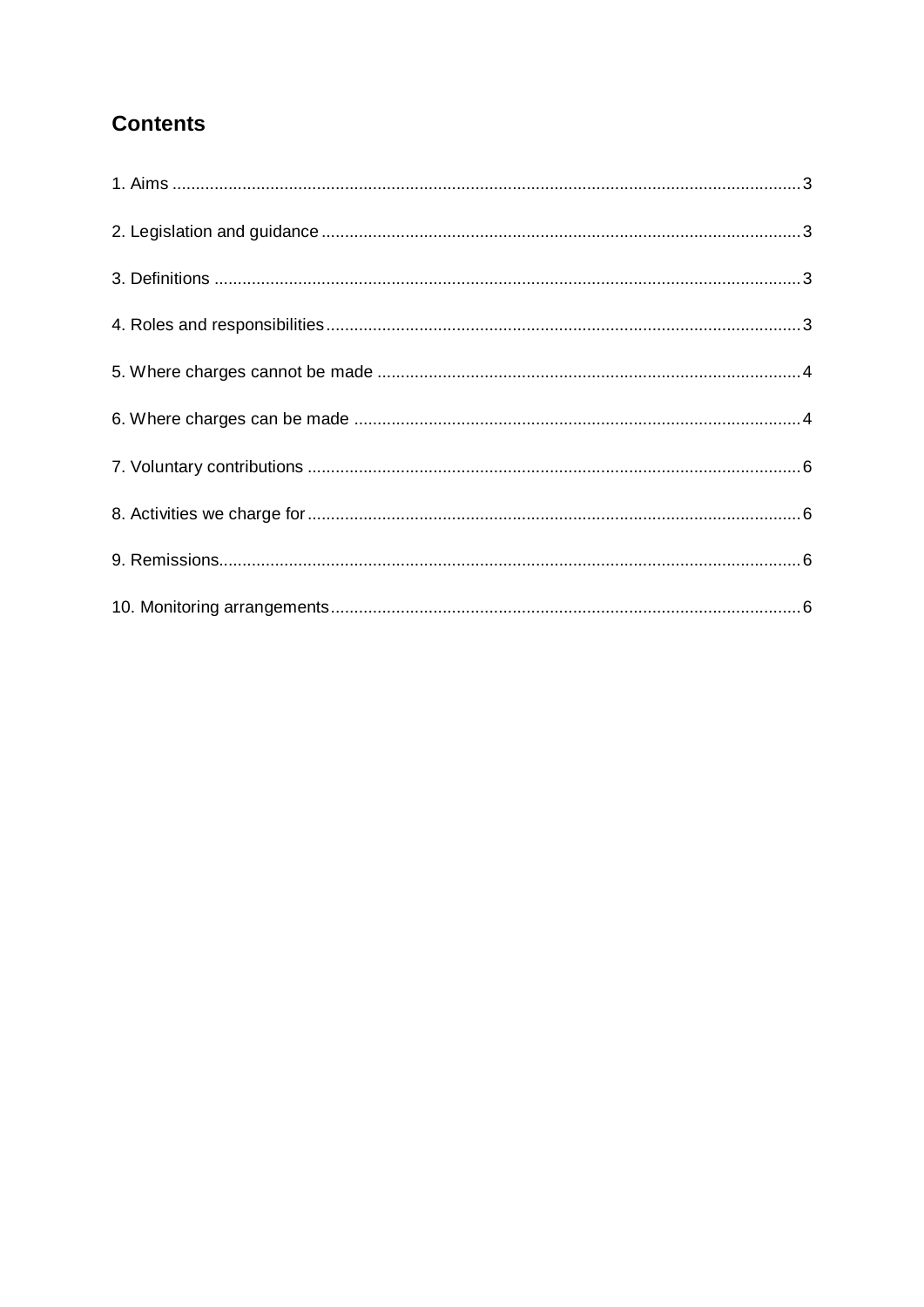# **Contents**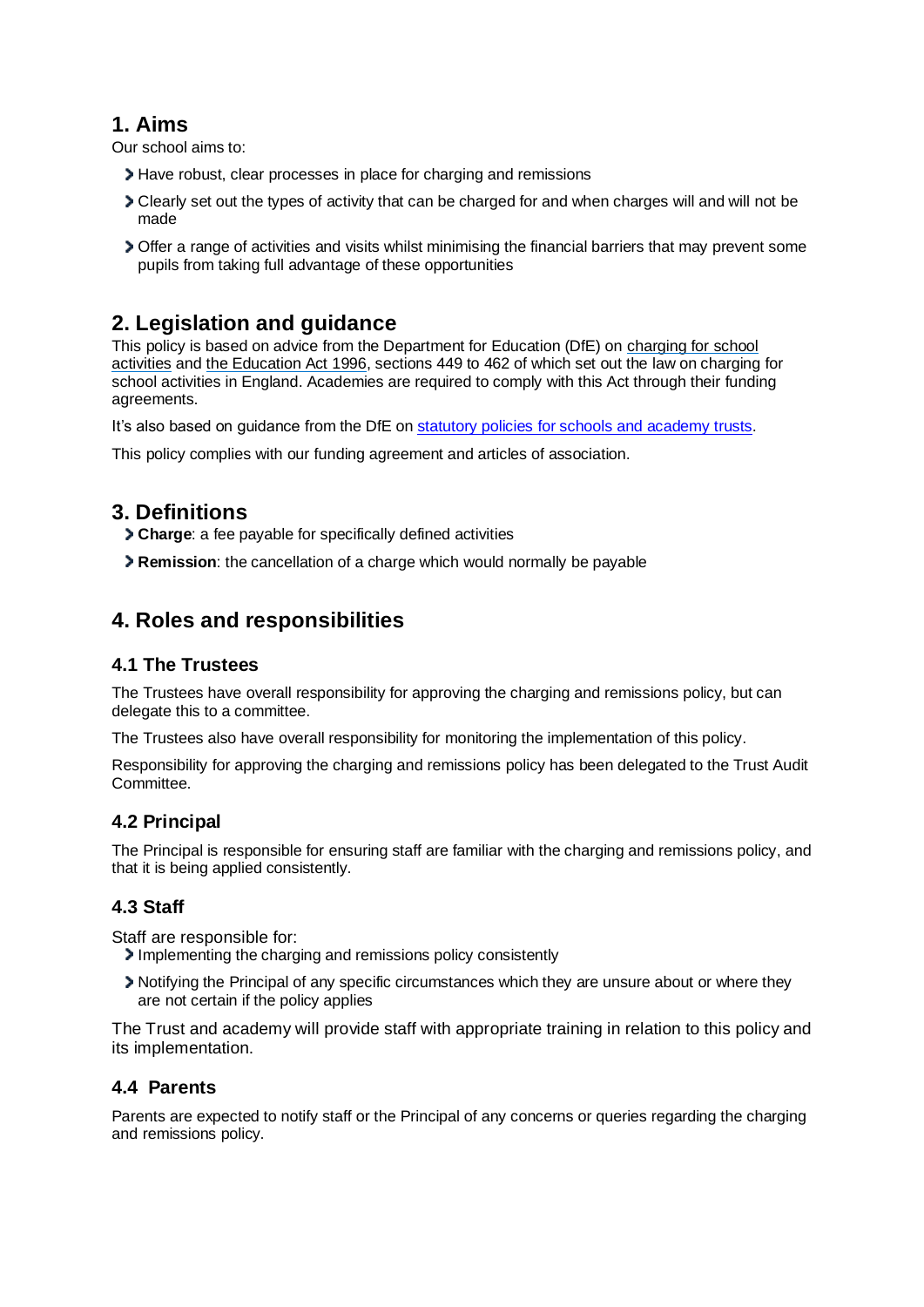## <span id="page-2-0"></span>**1. Aims**

Our school aims to:

- Have robust, clear processes in place for charging and remissions
- Clearly set out the types of activity that can be charged for and when charges will and will not be made
- Offer a range of activities and visits whilst minimising the financial barriers that may prevent some pupils from taking full advantage of these opportunities

### <span id="page-2-1"></span>**2. Legislation and guidance**

This policy is based on advice from the Department for Education (DfE) on [charging for school](https://www.gov.uk/government/publications/charging-for-school-activities)  [activities](https://www.gov.uk/government/publications/charging-for-school-activities) an[d the Education Act 1996,](http://www.legislation.gov.uk/ukpga/1996/56/part/VI/chapter/III) sections 449 to 462 of which set out the law on charging for school activities in England. Academies are required to comply with this Act through their funding agreements.

It's also based on guidance from the DfE on [statutory policies for schools and academy trusts.](https://www.gov.uk/government/publications/statutory-policies-for-schools-and-academy-trusts/statutory-policies-for-schools-and-academy-trusts)

This policy complies with our funding agreement and articles of association.

### <span id="page-2-2"></span>**3. Definitions**

**Charge**: a fee payable for specifically defined activities

**Remission**: the cancellation of a charge which would normally be payable

## <span id="page-2-3"></span>**4. Roles and responsibilities**

### **4.1 The Trustees**

The Trustees have overall responsibility for approving the charging and remissions policy, but can delegate this to a committee.

The Trustees also have overall responsibility for monitoring the implementation of this policy.

Responsibility for approving the charging and remissions policy has been delegated to the Trust Audit Committee.

### **4.2 Principal**

The Principal is responsible for ensuring staff are familiar with the charging and remissions policy, and that it is being applied consistently.

### **4.3 Staff**

Staff are responsible for:

- Implementing the charging and remissions policy consistently
- Notifying the Principal of any specific circumstances which they are unsure about or where they are not certain if the policy applies

The Trust and academy will provide staff with appropriate training in relation to this policy and its implementation.

### **4.4 Parents**

Parents are expected to notify staff or the Principal of any concerns or queries regarding the charging and remissions policy.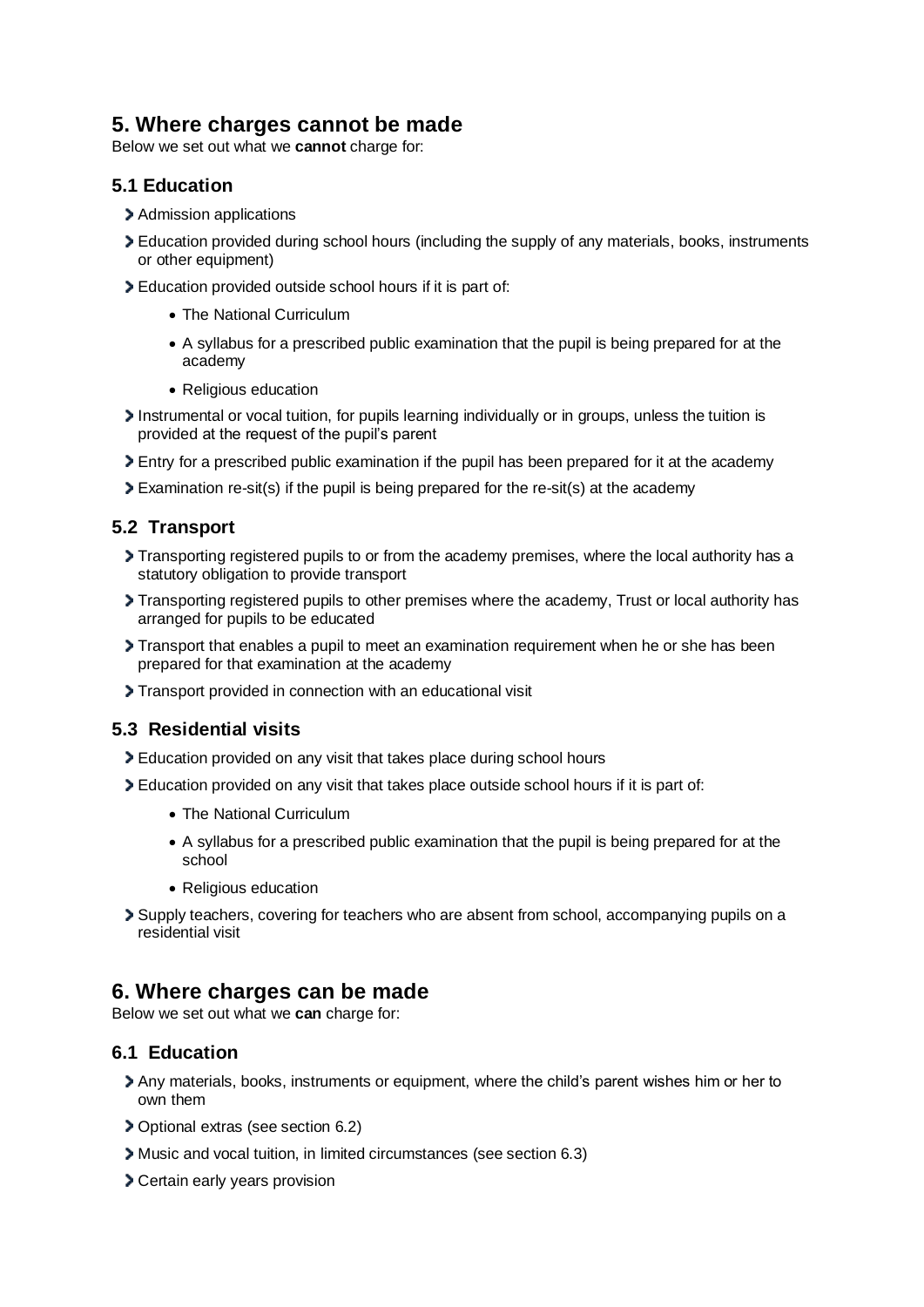## <span id="page-3-0"></span>**5. Where charges cannot be made**

Below we set out what we **cannot** charge for:

#### **5.1 Education**

- > Admission applications
- Education provided during school hours (including the supply of any materials, books, instruments or other equipment)
- Education provided outside school hours if it is part of:
	- The National Curriculum
	- A syllabus for a prescribed public examination that the pupil is being prepared for at the academy
	- Religious education
- Instrumental or vocal tuition, for pupils learning individually or in groups, unless the tuition is provided at the request of the pupil's parent
- Entry for a prescribed public examination if the pupil has been prepared for it at the academy
- Examination re-sit(s) if the pupil is being prepared for the re-sit(s) at the academy

#### **5.2 Transport**

- Transporting registered pupils to or from the academy premises, where the local authority has a statutory obligation to provide transport
- Transporting registered pupils to other premises where the academy, Trust or local authority has arranged for pupils to be educated
- Transport that enables a pupil to meet an examination requirement when he or she has been prepared for that examination at the academy
- > Transport provided in connection with an educational visit

### **5.3 Residential visits**

- Education provided on any visit that takes place during school hours
- Education provided on any visit that takes place outside school hours if it is part of:
	- The National Curriculum
	- A syllabus for a prescribed public examination that the pupil is being prepared for at the school
	- Religious education
- Supply teachers, covering for teachers who are absent from school, accompanying pupils on a residential visit

### <span id="page-3-1"></span>**6. Where charges can be made**

Below we set out what we **can** charge for:

#### **6.1 Education**

- Any materials, books, instruments or equipment, where the child's parent wishes him or her to own them
- Optional extras (see section 6.2)
- Music and vocal tuition, in limited circumstances (see section 6.3)
- Certain early years provision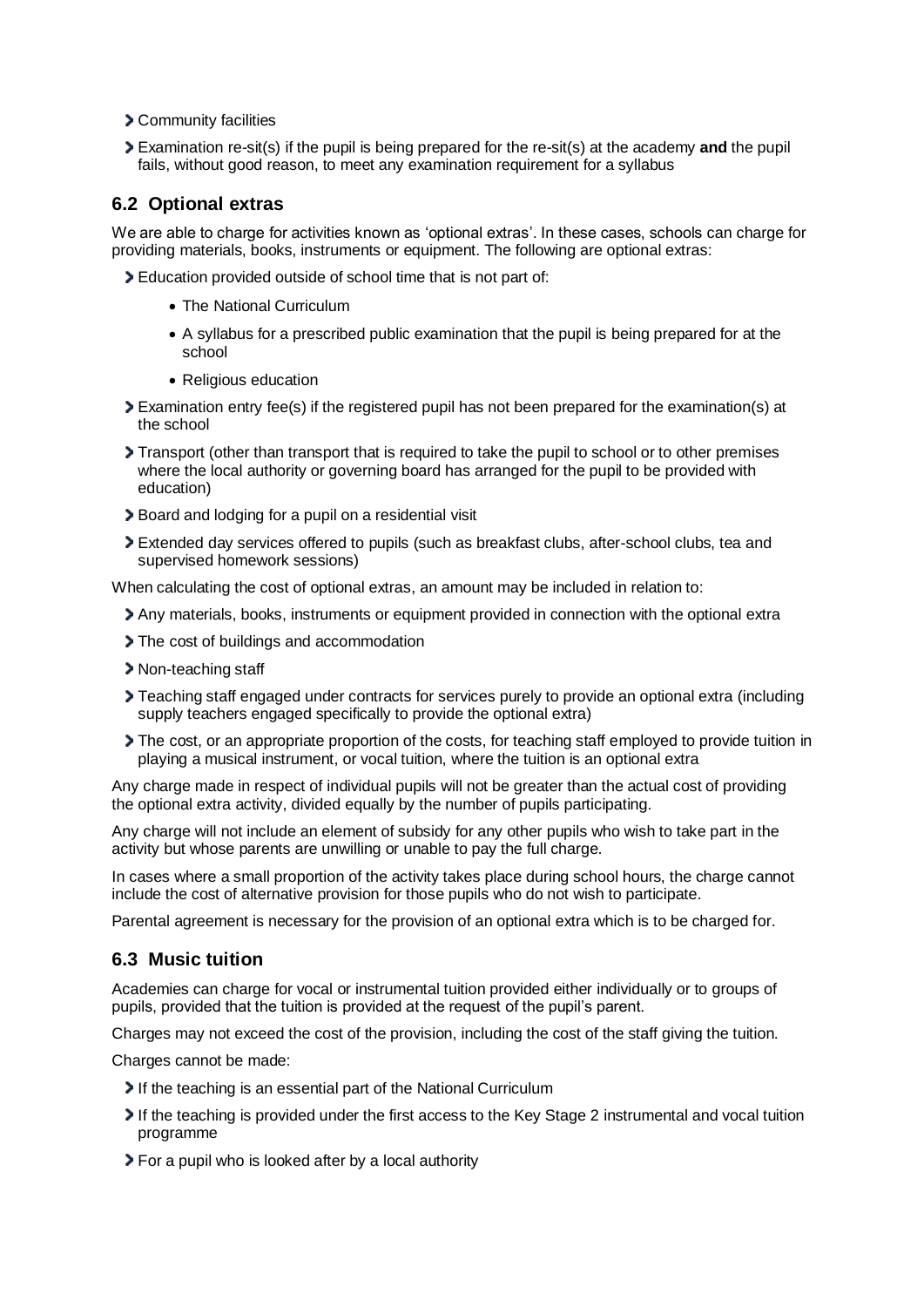- Community facilities
- Examination re-sit(s) if the pupil is being prepared for the re-sit(s) at the academy **and** the pupil fails, without good reason, to meet any examination requirement for a syllabus

#### **6.2 Optional extras**

We are able to charge for activities known as 'optional extras'. In these cases, schools can charge for providing materials, books, instruments or equipment. The following are optional extras:

Education provided outside of school time that is not part of:

- The National Curriculum
- A syllabus for a prescribed public examination that the pupil is being prepared for at the school
- Religious education
- Examination entry fee(s) if the registered pupil has not been prepared for the examination(s) at the school
- Transport (other than transport that is required to take the pupil to school or to other premises where the local authority or governing board has arranged for the pupil to be provided with education)
- Board and lodging for a pupil on a residential visit
- Extended day services offered to pupils (such as breakfast clubs, after-school clubs, tea and supervised homework sessions)

When calculating the cost of optional extras, an amount may be included in relation to:

- Any materials, books, instruments or equipment provided in connection with the optional extra
- > The cost of buildings and accommodation
- > Non-teaching staff
- Teaching staff engaged under contracts for services purely to provide an optional extra (including supply teachers engaged specifically to provide the optional extra)
- The cost, or an appropriate proportion of the costs, for teaching staff employed to provide tuition in playing a musical instrument, or vocal tuition, where the tuition is an optional extra

Any charge made in respect of individual pupils will not be greater than the actual cost of providing the optional extra activity, divided equally by the number of pupils participating.

Any charge will not include an element of subsidy for any other pupils who wish to take part in the activity but whose parents are unwilling or unable to pay the full charge.

In cases where a small proportion of the activity takes place during school hours, the charge cannot include the cost of alternative provision for those pupils who do not wish to participate.

Parental agreement is necessary for the provision of an optional extra which is to be charged for.

#### **6.3 Music tuition**

Academies can charge for vocal or instrumental tuition provided either individually or to groups of pupils, provided that the tuition is provided at the request of the pupil's parent.

Charges may not exceed the cost of the provision, including the cost of the staff giving the tuition.

Charges cannot be made:

- If the teaching is an essential part of the National Curriculum
- If the teaching is provided under the first access to the Key Stage 2 instrumental and vocal tuition programme
- For a pupil who is looked after by a local authority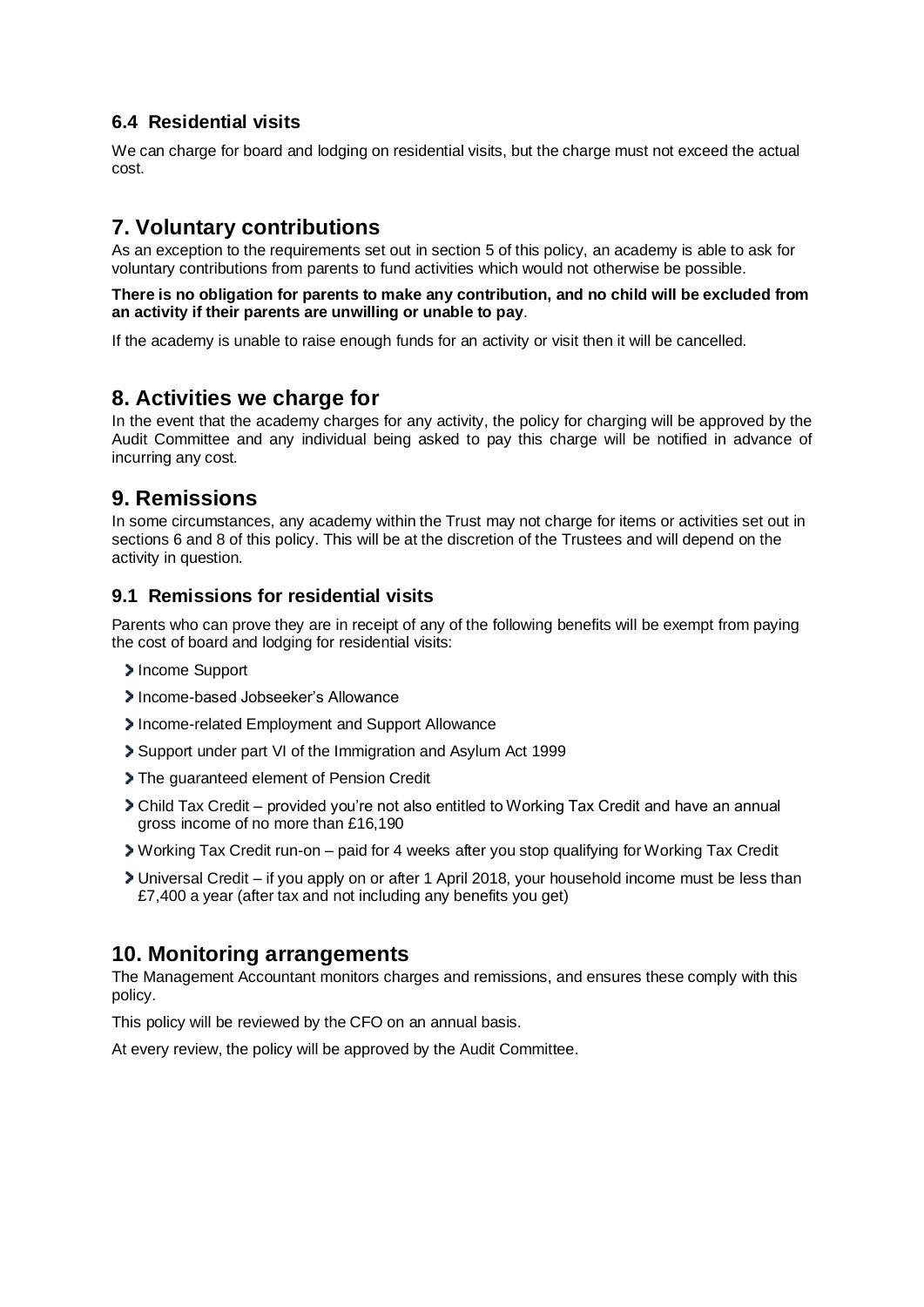### **6.4 Residential visits**

We can charge for board and lodging on residential visits, but the charge must not exceed the actual cost.

## <span id="page-5-0"></span>**7. Voluntary contributions**

As an exception to the requirements set out in section 5 of this policy, an academy is able to ask for voluntary contributions from parents to fund activities which would not otherwise be possible.

#### **There is no obligation for parents to make any contribution, and no child will be excluded from an activity if their parents are unwilling or unable to pay**.

If the academy is unable to raise enough funds for an activity or visit then it will be cancelled.

### <span id="page-5-1"></span>**8. Activities we charge for**

In the event that the academy charges for any activity, the policy for charging will be approved by the Audit Committee and any individual being asked to pay this charge will be notified in advance of incurring any cost.

### <span id="page-5-2"></span>**9. Remissions**

In some circumstances, any academy within the Trust may not charge for items or activities set out in sections 6 and 8 of this policy. This will be at the discretion of the Trustees and will depend on the activity in question.

### **9.1 Remissions for residential visits**

Parents who can prove they are in receipt of any of the following benefits will be exempt from paying the cost of board and lodging for residential visits:

- > Income Support
- Income-based Jobseeker's Allowance
- Income-related Employment and Support Allowance
- Support under part VI of the Immigration and Asylum Act 1999
- > The guaranteed element of Pension Credit
- Child Tax Credit provided you're not also entitled to Working Tax Credit and have an annual gross income of no more than £16,190
- Working Tax Credit run-on paid for 4 weeks after you stop qualifying for Working Tax Credit
- Universal Credit if you apply on or after 1 April 2018, your household income must be less than £7,400 a year (after tax and not including any benefits you get)

### <span id="page-5-3"></span>**10. Monitoring arrangements**

The Management Accountant monitors charges and remissions, and ensures these comply with this policy.

This policy will be reviewed by the CFO on an annual basis.

At every review, the policy will be approved by the Audit Committee.